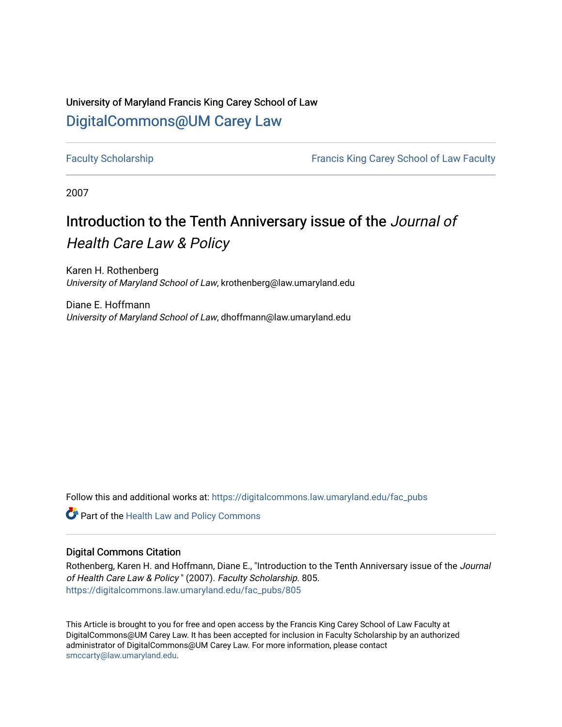### University of Maryland Francis King Carey School of Law [DigitalCommons@UM Carey Law](https://digitalcommons.law.umaryland.edu/)

[Faculty Scholarship](https://digitalcommons.law.umaryland.edu/fac_pubs) [Francis King Carey School of Law Faculty](https://digitalcommons.law.umaryland.edu/law_faculty) 

2007

# Introduction to the Tenth Anniversary issue of the Journal of

### Health Care Law & Policy

Karen H. Rothenberg University of Maryland School of Law, krothenberg@law.umaryland.edu

Diane E. Hoffmann University of Maryland School of Law, dhoffmann@law.umaryland.edu

Follow this and additional works at: [https://digitalcommons.law.umaryland.edu/fac\\_pubs](https://digitalcommons.law.umaryland.edu/fac_pubs?utm_source=digitalcommons.law.umaryland.edu%2Ffac_pubs%2F805&utm_medium=PDF&utm_campaign=PDFCoverPages) 

**Part of the Health Law and Policy Commons** 

#### Digital Commons Citation

Rothenberg, Karen H. and Hoffmann, Diane E., "Introduction to the Tenth Anniversary issue of the Journal of Health Care Law & Policy " (2007). Faculty Scholarship. 805. [https://digitalcommons.law.umaryland.edu/fac\\_pubs/805](https://digitalcommons.law.umaryland.edu/fac_pubs/805?utm_source=digitalcommons.law.umaryland.edu%2Ffac_pubs%2F805&utm_medium=PDF&utm_campaign=PDFCoverPages)

This Article is brought to you for free and open access by the Francis King Carey School of Law Faculty at DigitalCommons@UM Carey Law. It has been accepted for inclusion in Faculty Scholarship by an authorized administrator of DigitalCommons@UM Carey Law. For more information, please contact [smccarty@law.umaryland.edu](mailto:smccarty@law.umaryland.edu).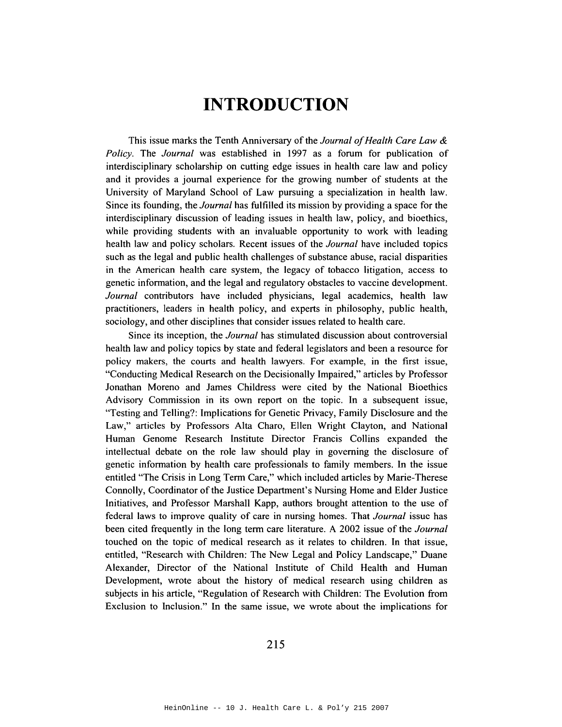## **INTRODUCTION**

This issue marks the Tenth Anniversary of the *Journal of Health Care Law* & *Policy.* The *Journal* was established in 1997 as a forum for publication of interdisciplinary scholarship on cutting edge issues in health care law and policy and it provides a journal experience for the growing number of students at the University of Maryland School of Law pursuing a specialization in health law. Since its founding, the *Journal* has fulfilled its mission by providing a space for the interdisciplinary discussion of leading issues in health law, policy, and bioethics, while providing students with an invaluable opportunity to work with leading health law and policy scholars. Recent issues of the *Journal* have included topics such as the legal and public health challenges of substance abuse, racial disparities in the American health care system, the legacy of tobacco litigation, access to genetic information, and the legal and regulatory obstacles to vaccine development. *Journal* contributors have included physicians, legal academics, health law practitioners, leaders in health policy, and experts in philosophy, public health, sociology, and other disciplines that consider issues related to health care.

Since its inception, the *Journal* has stimulated discussion about controversial health law and policy topics by state and federal legislators and been a resource for policy makers, the courts and health lawyers. For example, in the first issue, "Conducting Medical Research on the Decisionally Impaired," articles by Professor Jonathan Moreno and James Childress were cited by the National Bioethics Advisory Commission in its own report on the topic. In a subsequent issue, "Testing and Telling?: Implications for Genetic Privacy, Family Disclosure and the Law," articles by Professors Alta Charo, Ellen Wright Clayton, and National Human Genome Research Institute Director Francis Collins expanded the intellectual debate on the role law should play in governing the disclosure of genetic information by health care professionals to family members. In the issue entitled "The Crisis in Long Term Care," which included articles by Marie-Therese Connolly, Coordinator of the Justice Department's Nursing Home and Elder Justice Initiatives, and Professor Marshall Kapp, authors brought attention to the use of federal laws to improve quality of care in nursing homes. That *Journal* issue has been cited frequently in the long term care literature. A 2002 issue of the *Journal*  touched on the topic of medical research as it relates to children. In that issue, entitled, "Research with Children: The New Legal and Policy Landscape," Duane Alexander, Director of the National Institute of Child Health and Human Development, wrote about the history of medical research using children as subjects in his article, "Regulation of Research with Children: The Evolution from Exclusion to Inclusion." In the same issue, we wrote about the implications for

215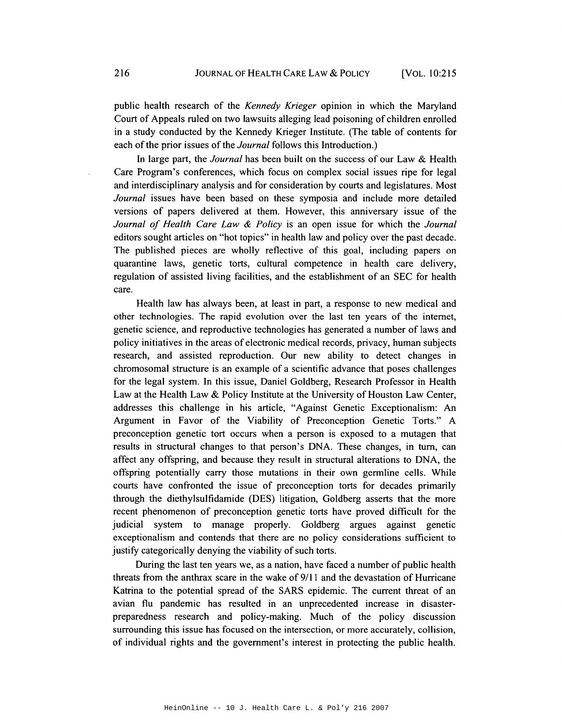public health research of the *Kennedy Krieger* opinion in which the Maryland Court of Appeals ruled on two lawsuits alleging lead poisoning of children enrolled in a study conducted by the Kennedy Krieger Institute. (The table of contents for each of the prior issues of the *Journal* follows this Introduction.)

In large part, the *Journal* has been built on the success of our Law & Health Care Program's conferences, which focus on complex social issues ripe for legal and interdisciplinary analysis and for consideration by courts and legislatures. Most *Journal* issues have been based on these symposia and include more detailed versions of papers delivered at them. However, this anniversary issue of the *Journal of Health Care Law* & *Policy* is an open issue for which the *Journal*  editors sought articles on "hot topics" in health law and policy over the past decade. The published pieces are wholly reflective of this goal, including papers on quarantine laws, genetic torts, cultural competence in health care delivery, regulation of assisted living facilities, and the establishment of an SEC for health care.

Health law has always been, at least in part, a response to new medical and other technologies. The rapid evolution over the last ten years of the internet, genetic science, and reproductive technologies has generated a number of laws and policy initiatives in the areas of electronic medical records, privacy, human subjects research, and assisted reproduction. Our new ability to detect changes in chromosomal structure is an example of a scientific advance that poses challenges for the legal system. In this issue, Daniel Goldberg, Research Professor in Health Law at the Health Law & Policy Institute at the University of Houston Law Center, addresses this challenge in his article, "Against Genetic Exceptionalism: An Argument in Favor of the Viability of Preconception Genetic Torts." A preconception genetic tort occurs when a person is exposed to a mutagen that results in structural changes to that person's DNA. These changes, in tum, can affect any offspring, and because they result in structural alterations to DNA, the offspring potentially carry those mutations in their own germline cells. While courts have confronted the issue of preconception torts for decades primarily through the diethylsulfidamide (DES) litigation, Goldberg asserts that the more recent phenomenon of preconception genetic torts have proved difficult for the judicial system to manage properly. Goldberg argues against genetic exceptionalism and contends that there are no policy considerations sufficient to justify categorically denying the viability of such torts.

During the last ten years we, as a nation, have faced a number of public health threats from the anthrax scare in the wake of 9/11 and the devastation of Hurricane Katrina to the potential spread of the SARS epidemic. The current threat of an avian flu pandemic has resulted in an unprecedented increase in disasterpreparedness research and policy-making. Much of the policy discussion surrounding this issue has focused on the intersection, or more accurately, collision, of individual rights and the government's interest in protecting the public health.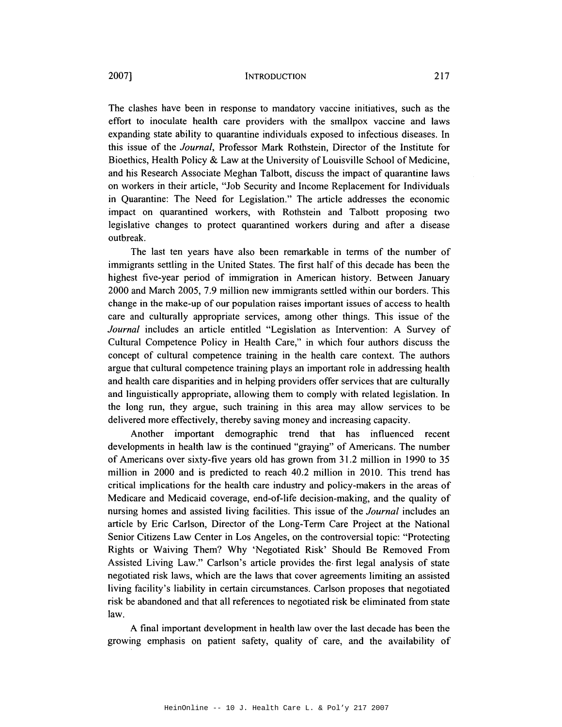The clashes have been in response to mandatory vaccine initiatives, such as the effort to inoculate health care providers with the smallpox vaccine and laws expanding state ability to quarantine individuals exposed to infectious diseases. In this issue of the *Journal,* Professor Mark Rothstein, Director of the Institute for Bioethics, Health Policy & Law at the University of Louisville School of Medicine, and his Research Associate Meghan Talbott, discuss the impact of quarantine laws on workers in their article, "Job Security and Income Replacement for Individuals in Quarantine: The Need for Legislation." The article addresses the economic impact on quarantined workers, with Rothstein and Talbott proposing two legislative changes to protect quarantined workers during and after a disease outbreak.

The last ten years have also been remarkable in terms of the number of immigrants settling in the United States. The first half of this decade has been the highest five-year period of immigration in American history. Between January 2000 and March 2005, 7.9 million new immigrants settled within our borders. This change in the make-up of our population raises important issues of access to health care and culturally appropriate services, among other things. This issue of the *Journal* includes an article entitled "Legislation as Intervention: A Survey of Cultural Competence Policy in Health Care," in which four authors discuss the concept of cultural competence training in the health care context. The authors argue that cultural competence training plays an important role in addressing health and health care disparities and in helping providers offer services that are culturally and linguistically appropriate, allowing them to comply with related legislation. In the long run, they argue, such training in this area may allow services to be delivered more effectively, thereby saving money and increasing capacity.

Another important demographic trend that has influenced recent developments in health law is the continued "graying" of Americans. The number of Americans over sixty-five years old has grown from 31.2 million in 1990 to 35 million in 2000 and is predicted to reach 40.2 million in 2010. This trend has critical implications for the health care industry and policy-makers in the areas of Medicare and Medicaid coverage, end-of-life decision-making, and the quality of nursing homes and assisted living facilities. This issue of the *Journal* includes an article by Eric Carlson, Director of the Long-Term Care Project at the National Senior Citizens Law Center in Los Angeles, on the controversial topic: "Protecting Rights or Waiving Them? Why 'Negotiated Risk' Should Be Removed From Assisted Living Law." Carlson's article provides the· first legal analysis of state negotiated risk laws, which are the laws that cover agreements limiting an assisted living facility's liability in certain circumstances. Carlson proposes that negotiated risk be abandoned and that all references to negotiated risk be eliminated from state law.

A final important development in health law over the last decade has been the growing emphasis on patient safety, quality of care, and the availability of